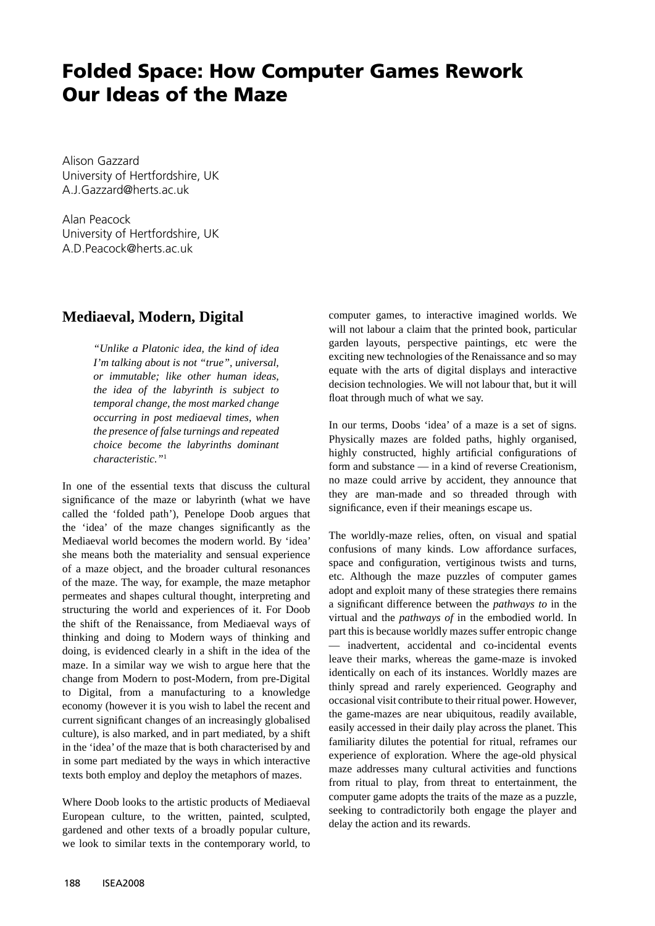# **Folded Space: How Computer Games Rework Our Ideas of the Maze**

Alison Gazzard University of Hertfordshire, UK A.J.Gazzard@herts.ac.uk

Alan Peacock University of Hertfordshire, UK A.D.Peacock@herts.ac.uk

## **Mediaeval, Modern, Digital**

*"Unlike a Platonic idea, the kind of idea I'm talking about is not "true", universal, or immutable; like other human ideas, the idea of the labyrinth is subject to temporal change, the most marked change occurring in post mediaeval times, when the presence of false turnings and repeated choice become the labyrinths dominant characteristic."*<sup>1</sup>

In one of the essential texts that discuss the cultural significance of the maze or labyrinth (what we have called the 'folded path'), Penelope Doob argues that the 'idea' of the maze changes significantly as the Mediaeval world becomes the modern world. By 'idea' she means both the materiality and sensual experience of a maze object, and the broader cultural resonances of the maze. The way, for example, the maze metaphor permeates and shapes cultural thought, interpreting and structuring the world and experiences of it. For Doob the shift of the Renaissance, from Mediaeval ways of thinking and doing to Modern ways of thinking and doing, is evidenced clearly in a shift in the idea of the maze. In a similar way we wish to argue here that the change from Modern to post-Modern, from pre-Digital to Digital, from a manufacturing to a knowledge economy (however it is you wish to label the recent and current significant changes of an increasingly globalised culture), is also marked, and in part mediated, by a shift in the 'idea' of the maze that is both characterised by and in some part mediated by the ways in which interactive texts both employ and deploy the metaphors of mazes.

Where Doob looks to the artistic products of Mediaeval European culture, to the written, painted, sculpted, gardened and other texts of a broadly popular culture, we look to similar texts in the contemporary world, to

computer games, to interactive imagined worlds. We will not labour a claim that the printed book, particular garden layouts, perspective paintings, etc were the exciting new technologies of the Renaissance and so may equate with the arts of digital displays and interactive decision technologies. We will not labour that, but it will float through much of what we say.

In our terms, Doobs 'idea' of a maze is a set of signs. Physically mazes are folded paths, highly organised, highly constructed, highly artificial configurations of form and substance — in a kind of reverse Creationism, no maze could arrive by accident, they announce that they are man-made and so threaded through with significance, even if their meanings escape us.

The worldly-maze relies, often, on visual and spatial confusions of many kinds. Low affordance surfaces, space and configuration, vertiginous twists and turns, etc. Although the maze puzzles of computer games adopt and exploit many of these strategies there remains a significant difference between the *pathways to* in the virtual and the *pathways of* in the embodied world. In part this is because worldly mazes suffer entropic change — inadvertent, accidental and co-incidental events leave their marks, whereas the game-maze is invoked identically on each of its instances. Worldly mazes are thinly spread and rarely experienced. Geography and occasional visit contribute to their ritual power. However, the game-mazes are near ubiquitous, readily available, easily accessed in their daily play across the planet. This familiarity dilutes the potential for ritual, reframes our experience of exploration. Where the age-old physical maze addresses many cultural activities and functions from ritual to play, from threat to entertainment, the computer game adopts the traits of the maze as a puzzle, seeking to contradictorily both engage the player and delay the action and its rewards.